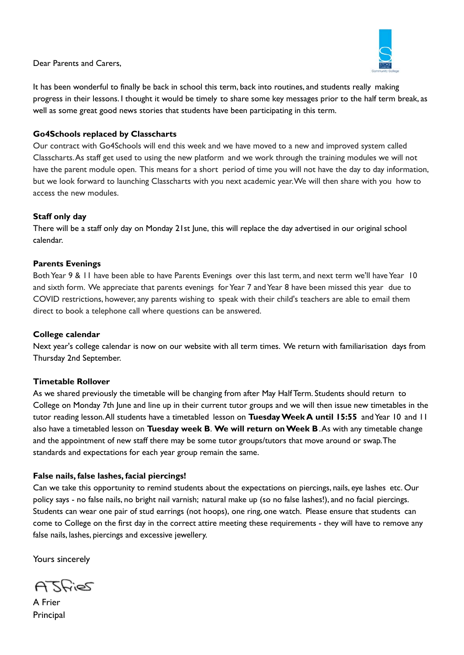

Dear Parents and Carers,

It has been wonderful to finally be back in school this term, back into routines, and students really making progress in their lessons. I thought it would be timely to share some key messages prior to the half term break, as well as some great good news stories that students have been participating in this term.

# **Go4Schools replaced by Classcharts**

Our contract with Go4Schools will end this week and we have moved to a new and improved system called Classcharts. As staff get used to using the new platform and we work through the training modules we will not have the parent module open. This means for a short period of time you will not have the day to day information, but we look forward to launching Classcharts with you next academic year. We will then share with you how to access the new modules.

# **Staff only day**

There will be a staff only day on Monday 21st June, this will replace the day advertised in our original school calendar.

# **Parents Evenings**

Both Year 9 & 11 have been able to have Parents Evenings over this last term, and next term we'll have Year 10 and sixth form. We appreciate that parents evenings for Year 7 and Year 8 have been missed this year due to COVID restrictions, however, any parents wishing to speak with their child's teachers are able to email them direct to book a telephone call where questions can be answered.

# **College calendar**

Next year's college calendar is now on our website with all term times. We return with familiarisation days from Thursday 2nd September.

# **Timetable Rollover**

As we shared previously the timetable will be changing from after May Half Term. Students should return to College on Monday 7th June and line up in their current tutor groups and we will then issue new timetables in the tutor reading lesson. All students have a timetabled lesson on **Tuesday Week A until 15:55** and Year 10 and 11 also have a timetabled lesson on **Tuesday week B**. **We will return on Week B**. As with any timetable change and the appointment of new staff there may be some tutor groups/tutors that move around or swap. The standards and expectations for each year group remain the same.

# **False nails, false lashes, facial piercings!**

Can we take this opportunity to remind students about the expectations on piercings, nails, eye lashes etc. Our policy says - no false nails, no bright nail varnish; natural make up (so no false lashes!), and no facial piercings. Students can wear one pair of stud earrings (not hoops), one ring, one watch. Please ensure that students can come to College on the first day in the correct attire meeting these requirements - they will have to remove any false nails, lashes, piercings and excessive jewellery.

Yours sincerely

ATSRIES

A Frier **Principal**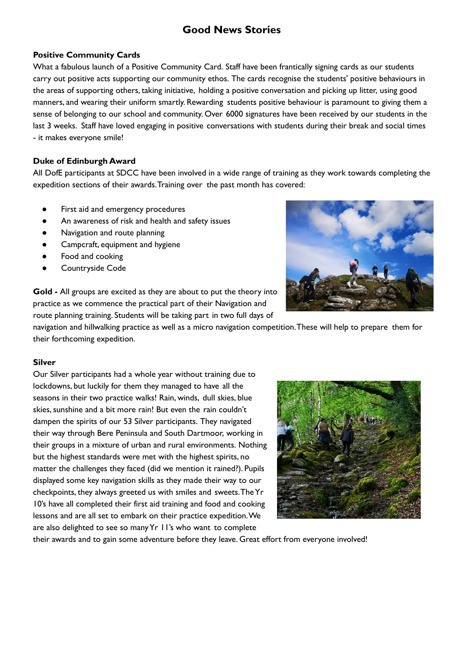# **Good News Stories**

# **Positive Community Cards**

What a fabulous launch of a Positive Community Card. Staff have been frantically signing cards as our students carry out positive acts supporting our community ethos. The cards recognise the students' positive behaviours in the areas of supporting others, taking initiative, holding a positive conversation and picking up litter, using good manners, and wearing their uniform smartly. Rewarding students positive behaviour is paramount to giving them a sense of belonging to our school and community. Over 6000 signatures have been received by our students in the last 3 weeks. Staff have loved engaging in positive conversations with students during their break and social times - it makes everyone smile!

#### **Duke of Edinburgh Award**

All DofE participants at SDCC have been involved in a wide range of training as they work towards completing the expedition sections of their awards. Training over the past month has covered:

- First aid and emergency procedures
- An awareness of risk and health and safety issues
- Navigation and route planning
- Campcraft, equipment and hygiene
- Food and cooking
- Countryside Code

**Gold -** All groups are excited as they are about to put the theory into practice as we commence the practical part of their Navigation and route planning training. Students will be taking part in two full days of

navigation and hillwalking practice as well as a micro navigation competition. These will help to prepare them for their forthcoming expedition.

#### **Silver**

Our Silver participants had a whole year without training due to lockdowns, but luckily for them they managed to have all the seasons in their two practice walks! Rain, winds, dull skies, blue skies, sunshine and a bit more rain! But even the rain couldn't dampen the spirits of our 53 Silver participants. They navigated their way through Bere Peninsula and South Dartmoor, working in their groups in a mixture of urban and rural environments. Nothing but the highest standards were met with the highest spirits, no matter the challenges they faced (did we mention it rained?). Pupils displayed some key navigation skills as they made their way to our checkpoints, they always greeted us with smiles and sweets. The Yr 10's have all completed their first aid training and food and cooking lessons and are all set to embark on their practice expedition. We are also delighted to see so many Yr 11's who want to complete



their awards and to gain some adventure before they leave. Great effort from everyone involved!

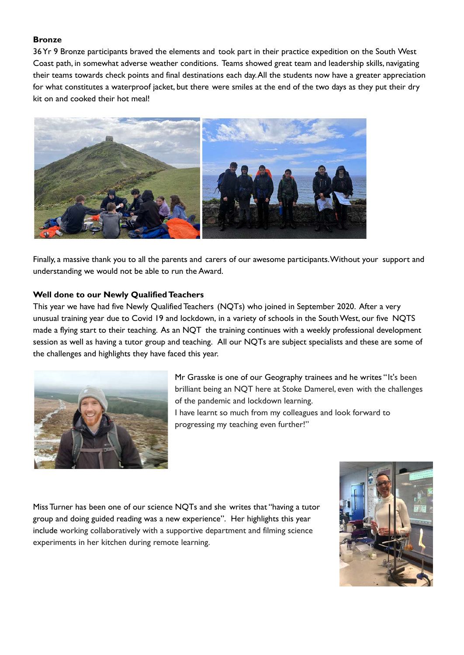# **Bronze**

36 Yr 9 Bronze participants braved the elements and took part in their practice expedition on the South West Coast path, in somewhat adverse weather conditions. Teams showed great team and leadership skills, navigating their teams towards check points and final destinations each day. All the students now have a greater appreciation for what constitutes a waterproof jacket, but there were smiles at the end of the two days as they put their dry kit on and cooked their hot meal!



Finally, a massive thank you to all the parents and carers of our awesome participants. Without your support and understanding we would not be able to run the Award.

#### **Well done to our Newly Qualified Teachers**

This year we have had five Newly Qualified Teachers (NQTs) who joined in September 2020. After a very unusual training year due to Covid 19 and lockdown, in a variety of schools in the South West, our five NQTS made a flying start to their teaching. As an NQT the training continues with a weekly professional development session as well as having a tutor group and teaching. All our NQTs are subject specialists and these are some of the challenges and highlights they have faced this year.



Mr Grasske is one of our Geography trainees and he writes " It's been brilliant being an NQT here at Stoke Damerel, even with the challenges of the pandemic and lockdown learning. I have learnt so much from my colleagues and look forward to progressing my teaching even further!"

Miss Turner has been one of our science NQTs and she writes that "having a tutor group and doing guided reading was a new experience". Her highlights this year include working collaboratively with a supportive department and filming science experiments in her kitchen during remote learning.

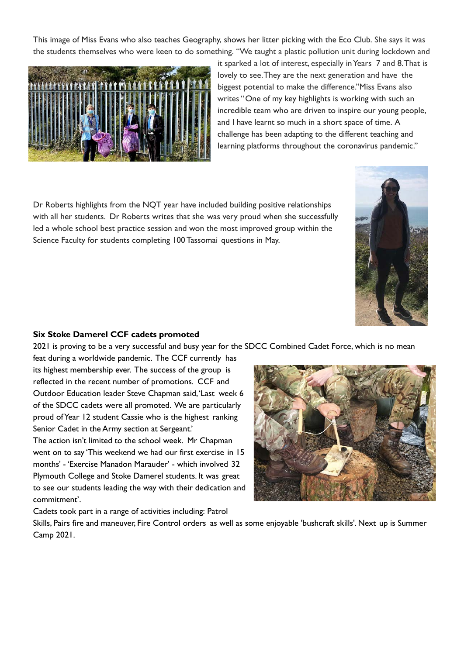This image of Miss Evans who also teaches Geography, shows her litter picking with the Eco Club. She says it was the students themselves who were keen to do something. "We taught a plastic pollution unit during lockdown and



it sparked a lot of interest, especially in Years 7 and 8. That is lovely to see. They are the next generation and have the biggest potential to make the difference."Miss Evans also writes "One of my key highlights is working with such an incredible team who are driven to inspire our young people, and I have learnt so much in a short space of time. A challenge has been adapting to the different teaching and learning platforms throughout the coronavirus pandemic."

Dr Roberts highlights from the NQT year have included building positive relationships with all her students. Dr Roberts writes that she was very proud when she successfully led a whole school best practice session and won the most improved group within the Science Faculty for students completing 100 Tassomai questions in May.



# **Six Stoke Damerel CCF cadets promoted**

2021 is proving to be a very successful and busy year for the SDCC Combined Cadet Force, which is no mean

feat during a worldwide pandemic. The CCF currently has its highest membership ever. The success of the group is reflected in the recent number of promotions. CCF and Outdoor Education leader Steve Chapman said, 'Last week 6 of the SDCC cadets were all promoted. We are particularly proud of Year 12 student Cassie who is the highest ranking Senior Cadet in the Army section at Sergeant.'

The action isn't limited to the school week. Mr Chapman went on to say 'This weekend we had our first exercise in 15 months' - 'Exercise Manadon Marauder' - which involved 32 Plymouth College and Stoke Damerel students. It was great to see our students leading the way with their dedication and commitment'.



Cadets took part in a range of activities including: Patrol

Skills, Pairs fire and maneuver, Fire Control orders as well as some enjoyable 'bushcraft skills'. Next up is Summer Camp 2021.